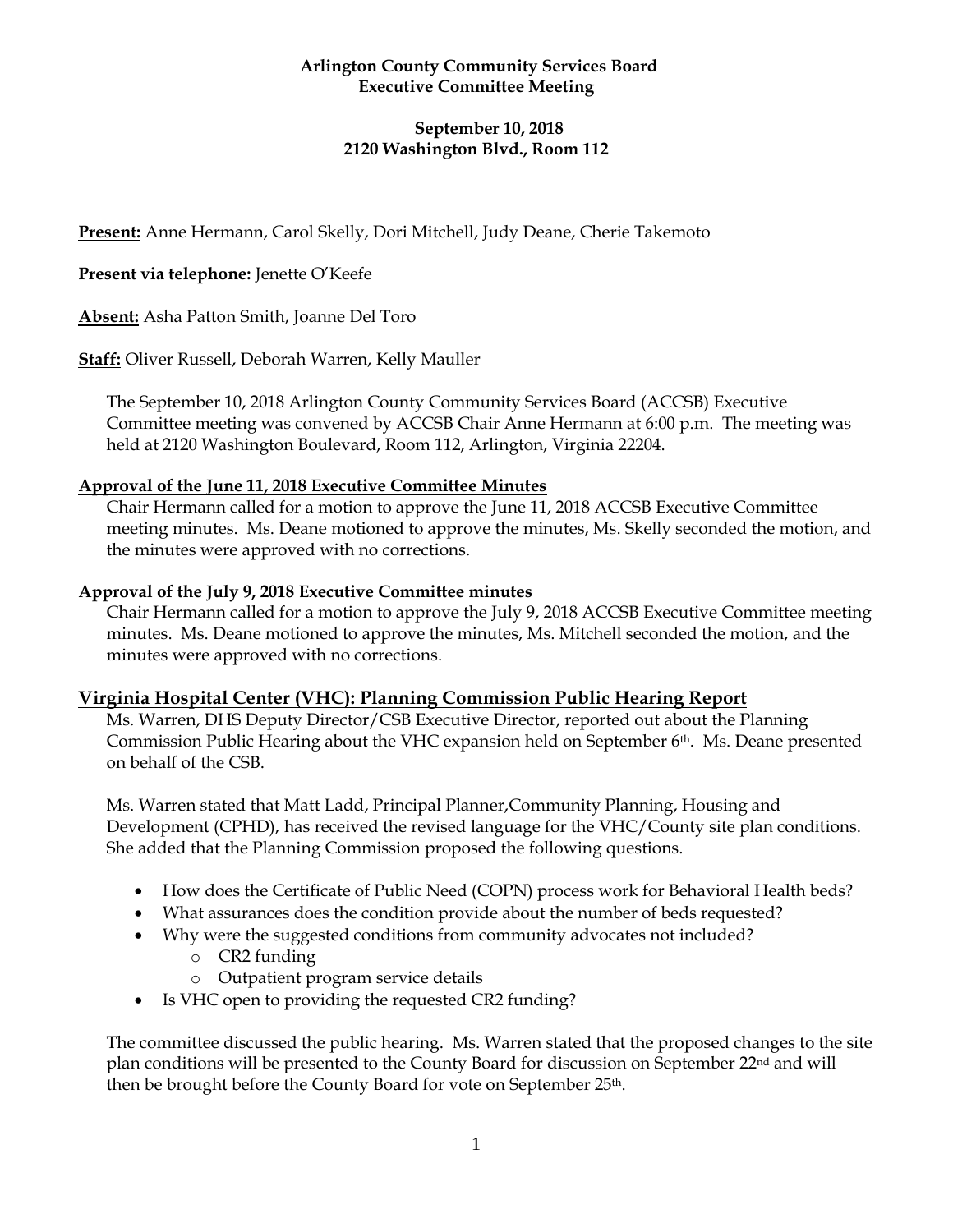# **Arlington County Community Services Board Executive Committee Meeting**

# **September 10, 2018 2120 Washington Blvd., Room 112**

**Present:** Anne Hermann, Carol Skelly, Dori Mitchell, Judy Deane, Cherie Takemoto

# **Present via telephone:** Jenette O'Keefe

**Absent:** Asha Patton Smith, Joanne Del Toro

**Staff:** Oliver Russell, Deborah Warren, Kelly Mauller

The September 10, 2018 Arlington County Community Services Board (ACCSB) Executive Committee meeting was convened by ACCSB Chair Anne Hermann at 6:00 p.m. The meeting was held at 2120 Washington Boulevard, Room 112, Arlington, Virginia 22204.

### **Approval of the June 11, 2018 Executive Committee Minutes**

Chair Hermann called for a motion to approve the June 11, 2018 ACCSB Executive Committee meeting minutes. Ms. Deane motioned to approve the minutes, Ms. Skelly seconded the motion, and the minutes were approved with no corrections.

### **Approval of the July 9, 2018 Executive Committee minutes**

Chair Hermann called for a motion to approve the July 9, 2018 ACCSB Executive Committee meeting minutes. Ms. Deane motioned to approve the minutes, Ms. Mitchell seconded the motion, and the minutes were approved with no corrections.

### **Virginia Hospital Center (VHC): Planning Commission Public Hearing Report**

Ms. Warren, DHS Deputy Director/CSB Executive Director, reported out about the Planning Commission Public Hearing about the VHC expansion held on September 6th. Ms. Deane presented on behalf of the CSB.

Ms. Warren stated that Matt Ladd, Principal Planner,Community Planning, Housing and Development (CPHD), has received the revised language for the VHC/County site plan conditions. She added that the Planning Commission proposed the following questions.

- How does the Certificate of Public Need (COPN) process work for Behavioral Health beds?
- What assurances does the condition provide about the number of beds requested?
- Why were the suggested conditions from community advocates not included?
	- o CR2 funding
	- o Outpatient program service details
- Is VHC open to providing the requested CR2 funding?

The committee discussed the public hearing. Ms. Warren stated that the proposed changes to the site plan conditions will be presented to the County Board for discussion on September 22nd and will then be brought before the County Board for vote on September 25th.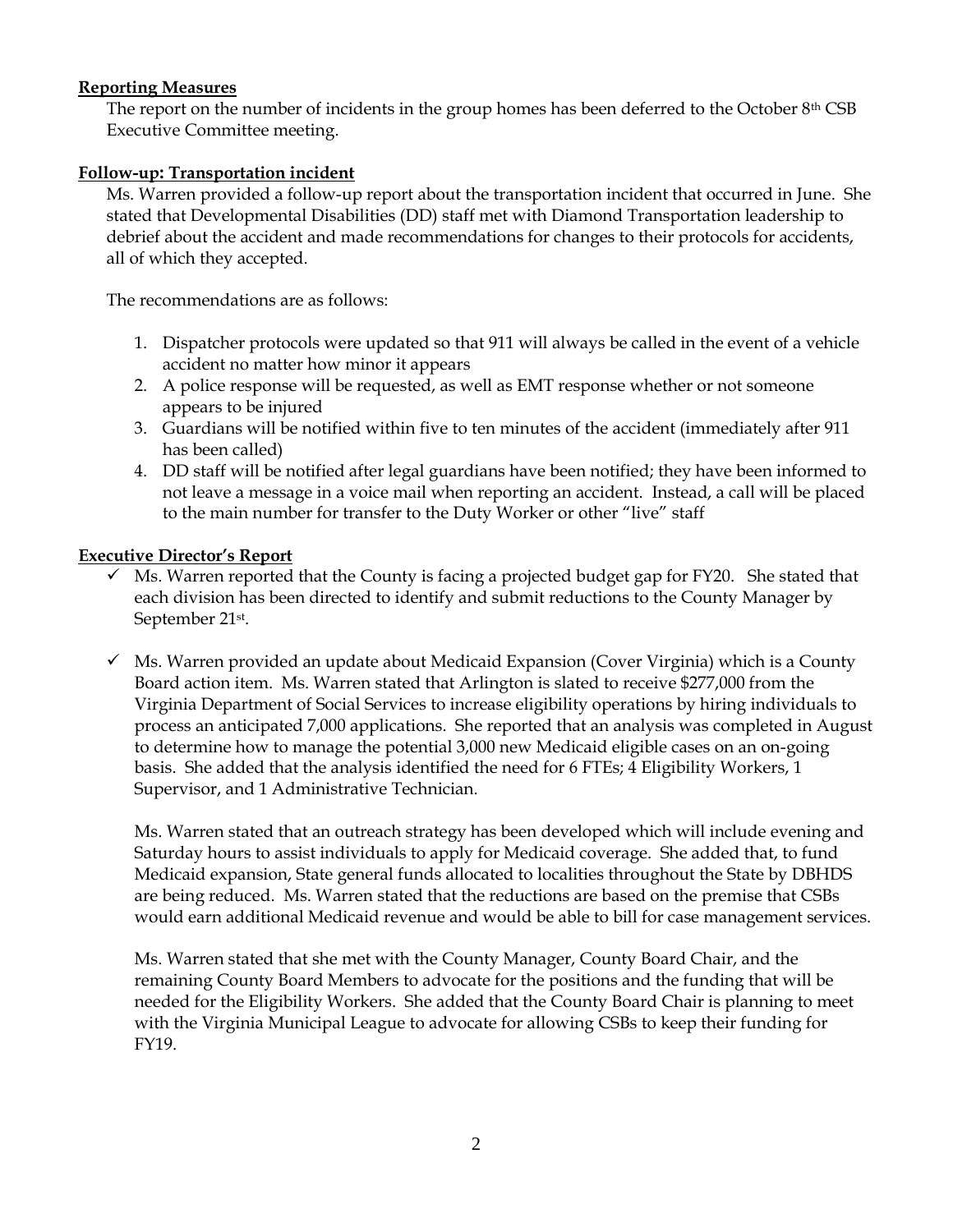# **Reporting Measures**

The report on the number of incidents in the group homes has been deferred to the October 8th CSB Executive Committee meeting.

# **Follow-up: Transportation incident**

Ms. Warren provided a follow-up report about the transportation incident that occurred in June. She stated that Developmental Disabilities (DD) staff met with Diamond Transportation leadership to debrief about the accident and made recommendations for changes to their protocols for accidents, all of which they accepted.

The recommendations are as follows:

- 1. Dispatcher protocols were updated so that 911 will always be called in the event of a vehicle accident no matter how minor it appears
- 2. A police response will be requested, as well as EMT response whether or not someone appears to be injured
- 3. Guardians will be notified within five to ten minutes of the accident (immediately after 911 has been called)
- 4. DD staff will be notified after legal guardians have been notified; they have been informed to not leave a message in a voice mail when reporting an accident. Instead, a call will be placed to the main number for transfer to the Duty Worker or other "live" staff

### **Executive Director's Report**

- ✓ Ms. Warren reported that the County is facing a projected budget gap for FY20. She stated that each division has been directed to identify and submit reductions to the County Manager by September 21st .
- $\checkmark$  Ms. Warren provided an update about Medicaid Expansion (Cover Virginia) which is a County Board action item. Ms. Warren stated that Arlington is slated to receive \$277,000 from the Virginia Department of Social Services to increase eligibility operations by hiring individuals to process an anticipated 7,000 applications. She reported that an analysis was completed in August to determine how to manage the potential 3,000 new Medicaid eligible cases on an on-going basis. She added that the analysis identified the need for 6 FTEs; 4 Eligibility Workers, 1 Supervisor, and 1 Administrative Technician.

Ms. Warren stated that an outreach strategy has been developed which will include evening and Saturday hours to assist individuals to apply for Medicaid coverage. She added that, to fund Medicaid expansion, State general funds allocated to localities throughout the State by DBHDS are being reduced. Ms. Warren stated that the reductions are based on the premise that CSBs would earn additional Medicaid revenue and would be able to bill for case management services.

Ms. Warren stated that she met with the County Manager, County Board Chair, and the remaining County Board Members to advocate for the positions and the funding that will be needed for the Eligibility Workers. She added that the County Board Chair is planning to meet with the Virginia Municipal League to advocate for allowing CSBs to keep their funding for FY19.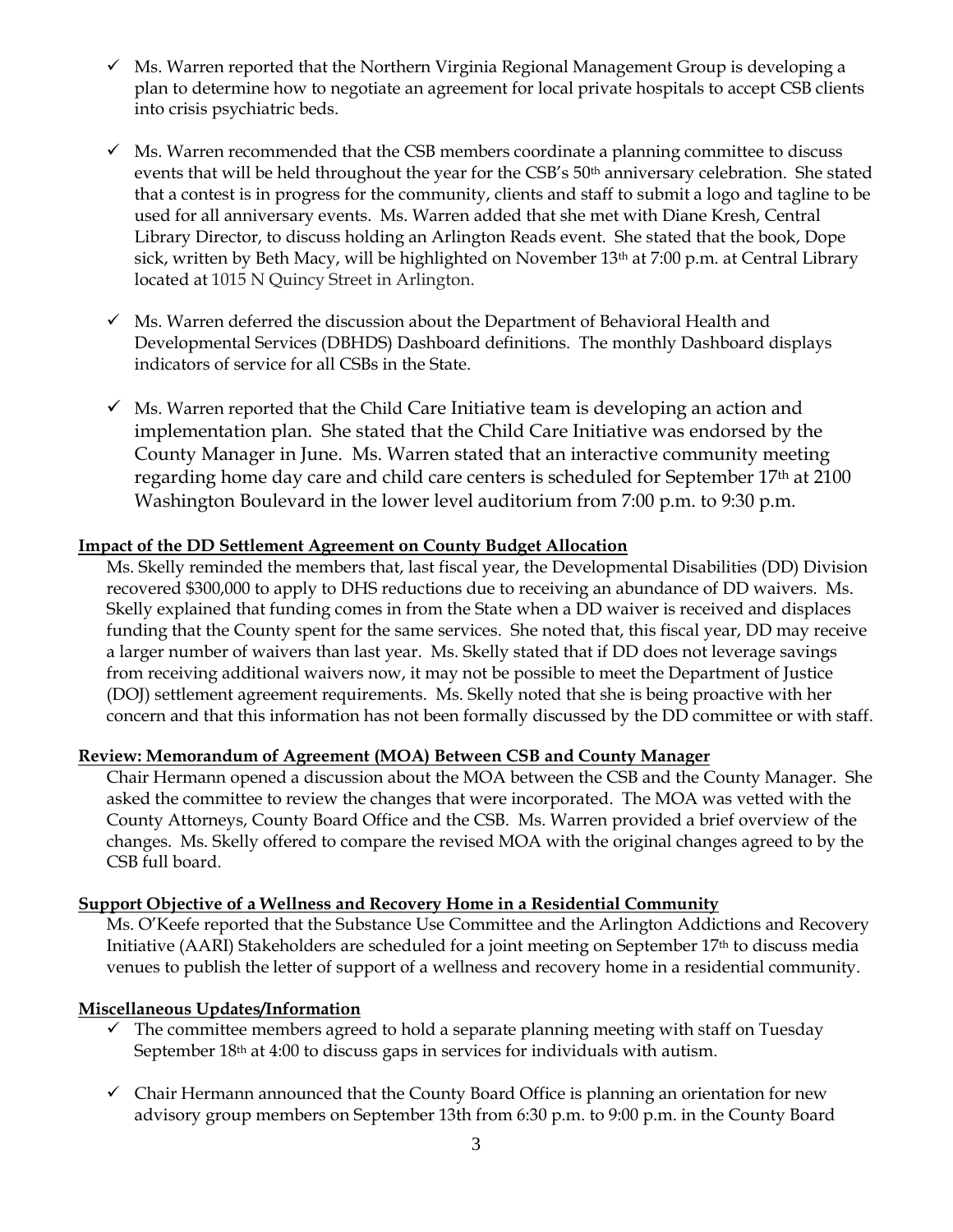- ✓ Ms. Warren reported that the Northern Virginia Regional Management Group is developing a plan to determine how to negotiate an agreement for local private hospitals to accept CSB clients into crisis psychiatric beds.
- $\checkmark$  Ms. Warren recommended that the CSB members coordinate a planning committee to discuss events that will be held throughout the year for the CSB's 50<sup>th</sup> anniversary celebration. She stated that a contest is in progress for the community, clients and staff to submit a logo and tagline to be used for all anniversary events. Ms. Warren added that she met with Diane Kresh, Central Library Director, to discuss holding an Arlington Reads event. She stated that the book, Dope sick, written by Beth Macy, will be highlighted on November 13<sup>th</sup> at 7:00 p.m. at Central Library located at 1015 N Quincy Street in Arlington.
- $\checkmark$  Ms. Warren deferred the discussion about the Department of Behavioral Health and Developmental Services (DBHDS) Dashboard definitions. The monthly Dashboard displays indicators of service for all CSBs in the State.
- $\checkmark$  Ms. Warren reported that the Child Care Initiative team is developing an action and implementation plan. She stated that the Child Care Initiative was endorsed by the County Manager in June. Ms. Warren stated that an interactive community meeting regarding home day care and child care centers is scheduled for September 17th at 2100 Washington Boulevard in the lower level auditorium from 7:00 p.m. to 9:30 p.m.

#### **Impact of the DD Settlement Agreement on County Budget Allocation**

Ms. Skelly reminded the members that, last fiscal year, the Developmental Disabilities (DD) Division recovered \$300,000 to apply to DHS reductions due to receiving an abundance of DD waivers. Ms. Skelly explained that funding comes in from the State when a DD waiver is received and displaces funding that the County spent for the same services. She noted that, this fiscal year, DD may receive a larger number of waivers than last year. Ms. Skelly stated that if DD does not leverage savings from receiving additional waivers now, it may not be possible to meet the Department of Justice (DOJ) settlement agreement requirements. Ms. Skelly noted that she is being proactive with her concern and that this information has not been formally discussed by the DD committee or with staff.

### **Review: Memorandum of Agreement (MOA) Between CSB and County Manager**

Chair Hermann opened a discussion about the MOA between the CSB and the County Manager. She asked the committee to review the changes that were incorporated. The MOA was vetted with the County Attorneys, County Board Office and the CSB. Ms. Warren provided a brief overview of the changes. Ms. Skelly offered to compare the revised MOA with the original changes agreed to by the CSB full board.

#### **Support Objective of a Wellness and Recovery Home in a Residential Community**

Ms. O'Keefe reported that the Substance Use Committee and the Arlington Addictions and Recovery Initiative (AARI) Stakeholders are scheduled for a joint meeting on September 17th to discuss media venues to publish the letter of support of a wellness and recovery home in a residential community.

### **Miscellaneous Updates/Information**

- $\checkmark$  The committee members agreed to hold a separate planning meeting with staff on Tuesday September 18<sup>th</sup> at 4:00 to discuss gaps in services for individuals with autism.
- $\checkmark$  Chair Hermann announced that the County Board Office is planning an orientation for new advisory group members on September 13th from 6:30 p.m. to 9:00 p.m. in the County Board